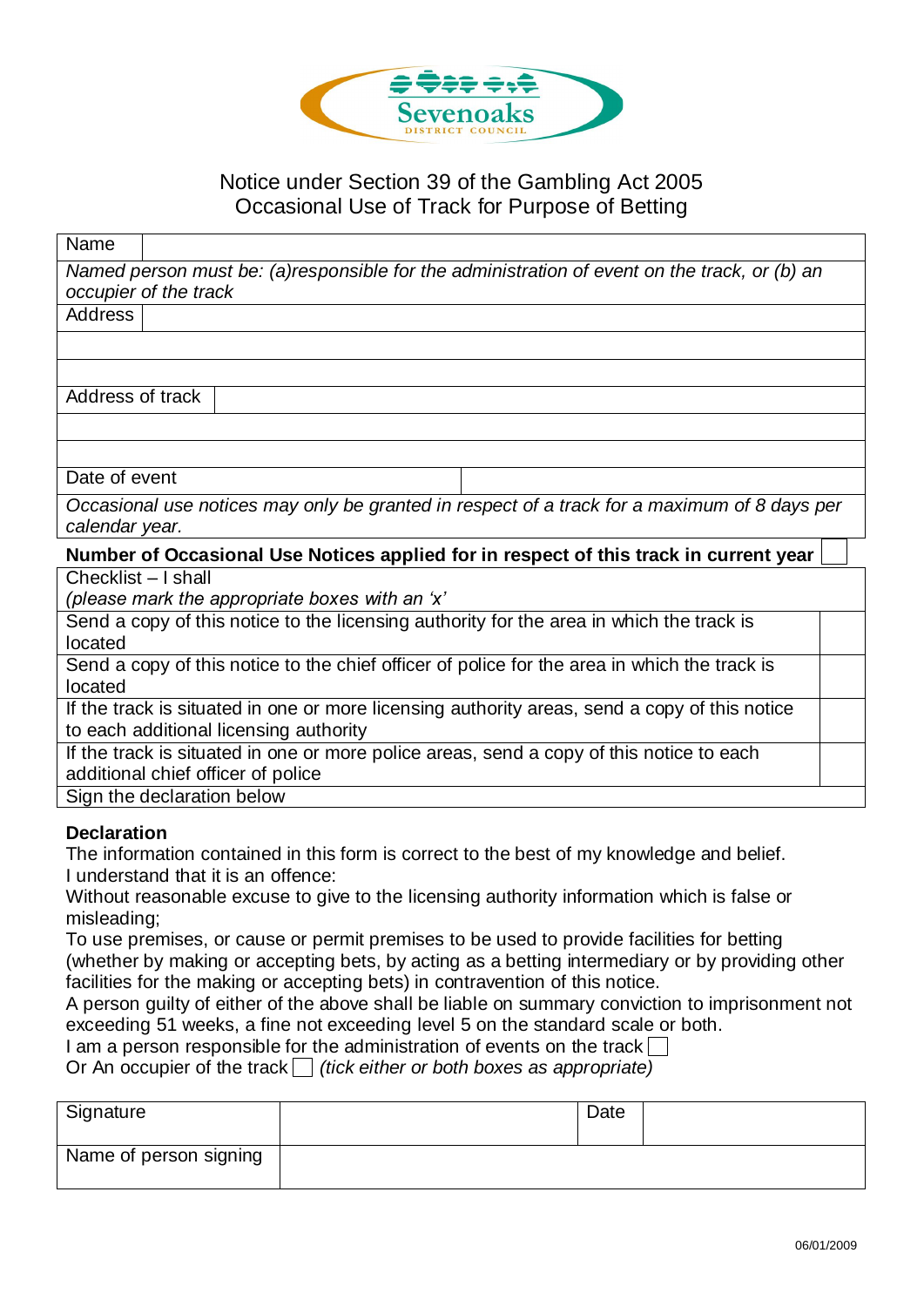

## Notice under Section 39 of the Gambling Act 2005 Occasional Use of Track for Purpose of Betting

| Name                                                                                         |                                                                                               |  |  |  |  |
|----------------------------------------------------------------------------------------------|-----------------------------------------------------------------------------------------------|--|--|--|--|
|                                                                                              | Named person must be: (a)responsible for the administration of event on the track, or (b) an  |  |  |  |  |
|                                                                                              | occupier of the track                                                                         |  |  |  |  |
| <b>Address</b>                                                                               |                                                                                               |  |  |  |  |
|                                                                                              |                                                                                               |  |  |  |  |
|                                                                                              |                                                                                               |  |  |  |  |
| Address of track                                                                             |                                                                                               |  |  |  |  |
|                                                                                              |                                                                                               |  |  |  |  |
|                                                                                              |                                                                                               |  |  |  |  |
| Date of event                                                                                |                                                                                               |  |  |  |  |
| Occasional use notices may only be granted in respect of a track for a maximum of 8 days per |                                                                                               |  |  |  |  |
| calendar year.                                                                               |                                                                                               |  |  |  |  |
| Number of Occasional Use Notices applied for in respect of this track in current year        |                                                                                               |  |  |  |  |
|                                                                                              |                                                                                               |  |  |  |  |
| Checklist - I shall                                                                          |                                                                                               |  |  |  |  |
|                                                                                              | (please mark the appropriate boxes with an 'x'                                                |  |  |  |  |
|                                                                                              | Send a copy of this notice to the licensing authority for the area in which the track is      |  |  |  |  |
| located                                                                                      |                                                                                               |  |  |  |  |
|                                                                                              | Send a copy of this notice to the chief officer of police for the area in which the track is  |  |  |  |  |
| located                                                                                      |                                                                                               |  |  |  |  |
|                                                                                              | If the track is situated in one or more licensing authority areas, send a copy of this notice |  |  |  |  |
|                                                                                              | to each additional licensing authority                                                        |  |  |  |  |
|                                                                                              | If the track is situated in one or more police areas, send a copy of this notice to each      |  |  |  |  |
|                                                                                              | additional chief officer of police                                                            |  |  |  |  |
|                                                                                              | Sign the declaration below                                                                    |  |  |  |  |

## **Declaration**

The information contained in this form is correct to the best of my knowledge and belief. I understand that it is an offence:

Without reasonable excuse to give to the licensing authority information which is false or misleading;

To use premises, or cause or permit premises to be used to provide facilities for betting (whether by making or accepting bets, by acting as a betting intermediary or by providing other facilities for the making or accepting bets) in contravention of this notice.

A person guilty of either of the above shall be liable on summary conviction to imprisonment not exceeding 51 weeks, a fine not exceeding level 5 on the standard scale or both.

I am a person responsible for the administration of events on the track  $\Box$ 

Or An occupier of the track  $\Box$  (tick either or both boxes as appropriate)

| Signature              | Date |  |
|------------------------|------|--|
| Name of person signing |      |  |